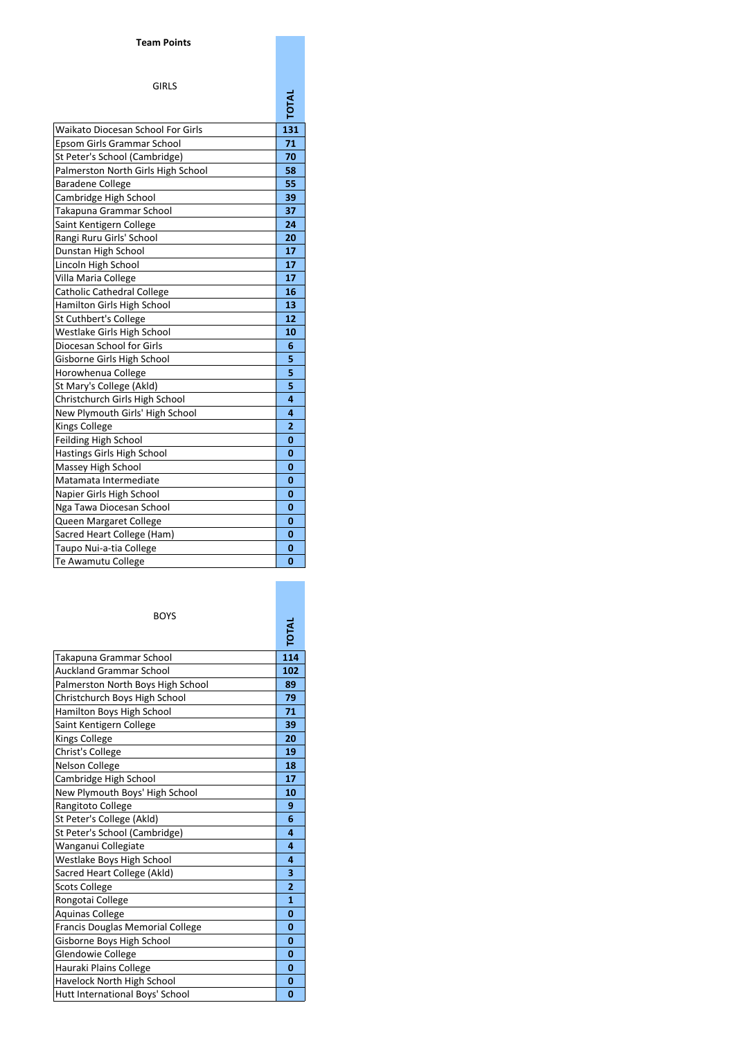## **Team Points**

## GIRLS

| Waikato Diocesan School For Girls  | 131            |
|------------------------------------|----------------|
| Epsom Girls Grammar School         | 71             |
| St Peter's School (Cambridge)      | 70             |
| Palmerston North Girls High School | 58             |
| <b>Baradene College</b>            | 55             |
| Cambridge High School              | 39             |
| Takapuna Grammar School            | 37             |
| Saint Kentigern College            | 24             |
| Rangi Ruru Girls' School           | 20             |
| Dunstan High School                | 17             |
| Lincoln High School                | 17             |
| Villa Maria College                | 17             |
| <b>Catholic Cathedral College</b>  | 16             |
| Hamilton Girls High School         | 13             |
| <b>St Cuthbert's College</b>       | 12             |
| Westlake Girls High School         | 10             |
| Diocesan School for Girls          | 6              |
| Gisborne Girls High School         | 5              |
| Horowhenua College                 | 5              |
| St Mary's College (Akld)           | 5              |
| Christchurch Girls High School     | 4              |
| New Plymouth Girls' High School    | 4              |
| <b>Kings College</b>               | $\overline{2}$ |
| Feilding High School               | $\bf{0}$       |
| Hastings Girls High School         | 0              |
| Massey High School                 | 0              |
| Matamata Intermediate              | 0              |
| Napier Girls High School           | 0              |
| Nga Tawa Diocesan School           | 0              |
| Queen Margaret College             | 0              |
| Sacred Heart College (Ham)         | 0              |
| Taupo Nui-a-tia College            | 0              |
| Te Awamutu College                 | 0              |

| <b>BOYS</b>                       |              |
|-----------------------------------|--------------|
| Takapuna Grammar School           | 114          |
| <b>Auckland Grammar School</b>    | 102          |
| Palmerston North Boys High School | 89           |
| Christchurch Boys High School     | 79           |
| Hamilton Boys High School         | 71           |
| Saint Kentigern College           | 39           |
| Kings College                     | 20           |
| Christ's College                  | 19           |
| <b>Nelson College</b>             | 18           |
| Cambridge High School             | 17           |
| New Plymouth Boys' High School    | 10           |
| Rangitoto College                 | 9            |
| St Peter's College (Akld)         | 6            |
| St Peter's School (Cambridge)     | $\Delta$     |
| Wanganui Collegiate               | 4            |
| Westlake Boys High School         | 4            |
| Sacred Heart College (Akld)       | 3            |
| <b>Scots College</b>              | 2            |
| Rongotai College                  | $\mathbf{1}$ |
| <b>Aquinas College</b>            | 0            |
| Francis Douglas Memorial College  | $\bf{0}$     |
| Gisborne Boys High School         | 0            |
| Glendowie College                 | $\bf{0}$     |
| Hauraki Plains College            | 0            |
| Havelock North High School        | 0            |
| Hutt International Boys' School   | 0            |